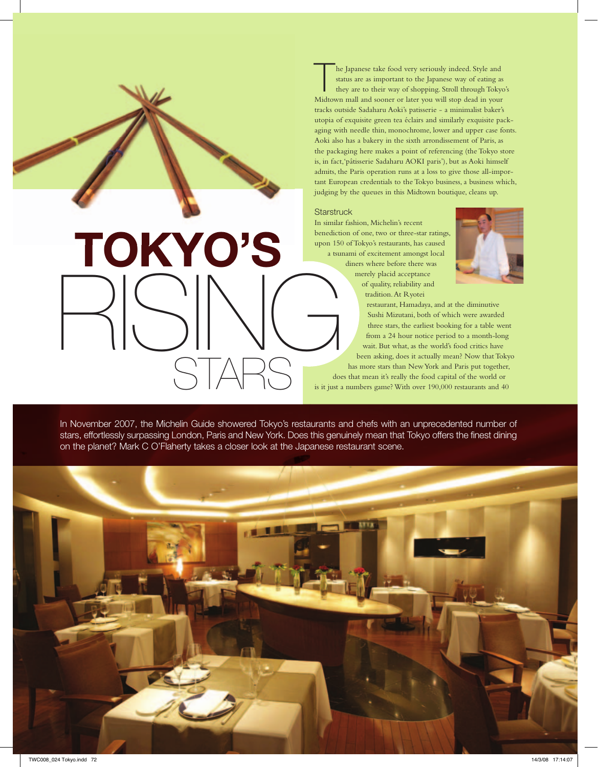The Japanese take food very seriously indeed. Style and<br>status are as important to the Japanese way of eating as<br>they are to their way of shopping. Stroll through Toky<br>Midteum mall and seemes or later way will step deed in status are as important to the Japanese way of eating as they are to their way of shopping. Stroll through Tokyo's Midtown mall and sooner or later you will stop dead in your tracks outside Sadaharu Aoki's patisserie - a minimalist baker's utopia of exquisite green tea éclairs and similarly exquisite packaging with needle thin, monochrome, lower and upper case fonts. Aoki also has a bakery in the sixth arrondissement of Paris, as the packaging here makes a point of referencing (the Tokyo store is, in fact,'pâtisserie Sadaharu AOKI paris'), but as Aoki himself admits, the Paris operation runs at a loss to give those all-important European credentials to the Tokyo business, a business which, judging by the queues in this Midtown boutique, cleans up.

#### **Starstruck**

In similar fashion, Michelin's recent benediction of one, two or three-star ratings, upon 150 of Tokyo's restaurants, has caused a tsunami of excitement amongst local diners where before there was merely placid acceptance of quality, reliability and tradition. At Ryotei



restaurant, Hamadaya, and at the diminutive Sushi Mizutani, both of which were awarded three stars, the earliest booking for a table went from a 24 hour notice period to a month-long wait. But what, as the world's food critics have been asking, does it actually mean? Now that Tokyo has more stars than New York and Paris put together, does that mean it's really the food capital of the world or is it just a numbers game? With over 190,000 restaurants and 40 RISING

In November 2007, the Michelin Guide showered Tokyo's restaurants and chefs with an unprecedented number of stars, effortlessly surpassing London, Paris and New York. Does this genuinely mean that Tokyo offers the finest dining on the planet? Mark C O'Flaherty takes a closer look at the Japanese restaurant scene.

STARS

TOKYO'S